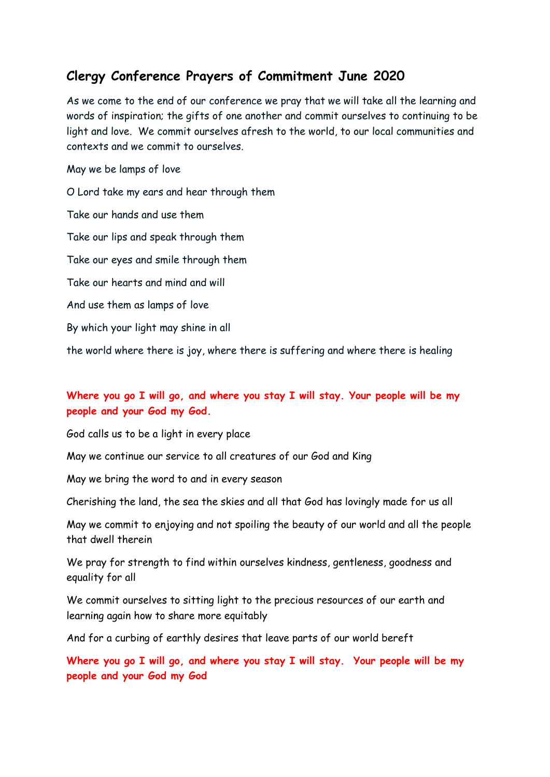## **Clergy Conference Prayers of Commitment June 2020**

As we come to the end of our conference we pray that we will take all the learning and words of inspiration; the gifts of one another and commit ourselves to continuing to be light and love. We commit ourselves afresh to the world, to our local communities and contexts and we commit to ourselves.

## May we be lamps of love

O Lord take my ears and hear through them Take our hands and use them Take our lips and speak through them Take our eyes and smile through them Take our hearts and mind and will And use them as lamps of love By which your light may shine in all the world where there is joy, where there is suffering and where there is healing

## **Where you go I will go, and where you stay I will stay. Your people will be my people and your God my God.**

God calls us to be a light in every place

May we continue our service to all creatures of our God and King

May we bring the word to and in every season

Cherishing the land, the sea the skies and all that God has lovingly made for us all

May we commit to enjoying and not spoiling the beauty of our world and all the people that dwell therein

We pray for strength to find within ourselves kindness, gentleness, goodness and equality for all

We commit ourselves to sitting light to the precious resources of our earth and learning again how to share more equitably

And for a curbing of earthly desires that leave parts of our world bereft

**Where you go I will go, and where you stay I will stay. Your people will be my people and your God my God**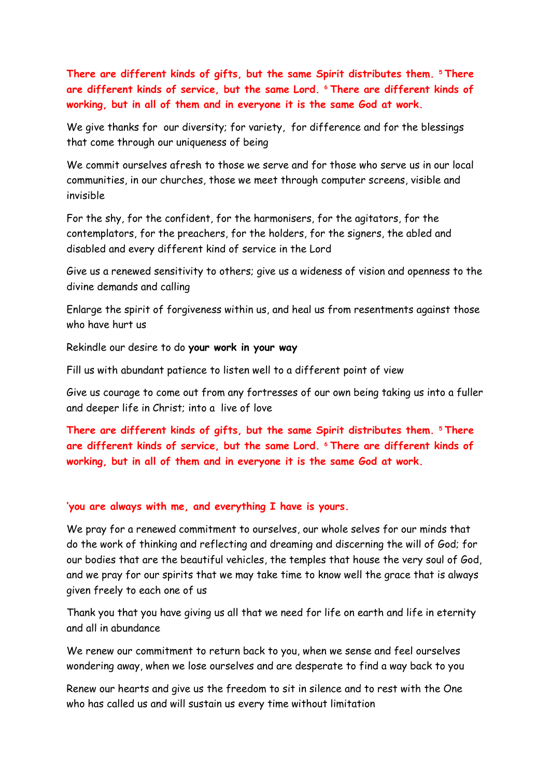**There are different kinds of gifts, but the same Spirit distributes them. <sup>5</sup> There are different kinds of service, but the same Lord. <sup>6</sup> There are different kinds of working, but in all of them and in everyone it is the same God at work.**

We give thanks for our diversity; for variety, for difference and for the blessings that come through our uniqueness of being

We commit ourselves afresh to those we serve and for those who serve us in our local communities, in our churches, those we meet through computer screens, visible and invisible

For the shy, for the confident, for the harmonisers, for the agitators, for the contemplators, for the preachers, for the holders, for the signers, the abled and disabled and every different kind of service in the Lord

Give us a renewed sensitivity to others; give us a wideness of vision and openness to the divine demands and calling

Enlarge the spirit of forgiveness within us, and heal us from resentments against those who have hurt us

Rekindle our desire to do **your work in your way**

Fill us with abundant patience to listen well to a different point of view

Give us courage to come out from any fortresses of our own being taking us into a fuller and deeper life in Christ; into a live of love

**There are different kinds of gifts, but the same Spirit distributes them. <sup>5</sup> There are different kinds of service, but the same Lord. <sup>6</sup> There are different kinds of working, but in all of them and in everyone it is the same God at work.**

## **'you are always with me, and everything I have is yours.**

We pray for a renewed commitment to ourselves, our whole selves for our minds that do the work of thinking and reflecting and dreaming and discerning the will of God; for our bodies that are the beautiful vehicles, the temples that house the very soul of God, and we pray for our spirits that we may take time to know well the grace that is always given freely to each one of us

Thank you that you have giving us all that we need for life on earth and life in eternity and all in abundance

We renew our commitment to return back to you, when we sense and feel ourselves wondering away, when we lose ourselves and are desperate to find a way back to you

Renew our hearts and give us the freedom to sit in silence and to rest with the One who has called us and will sustain us every time without limitation